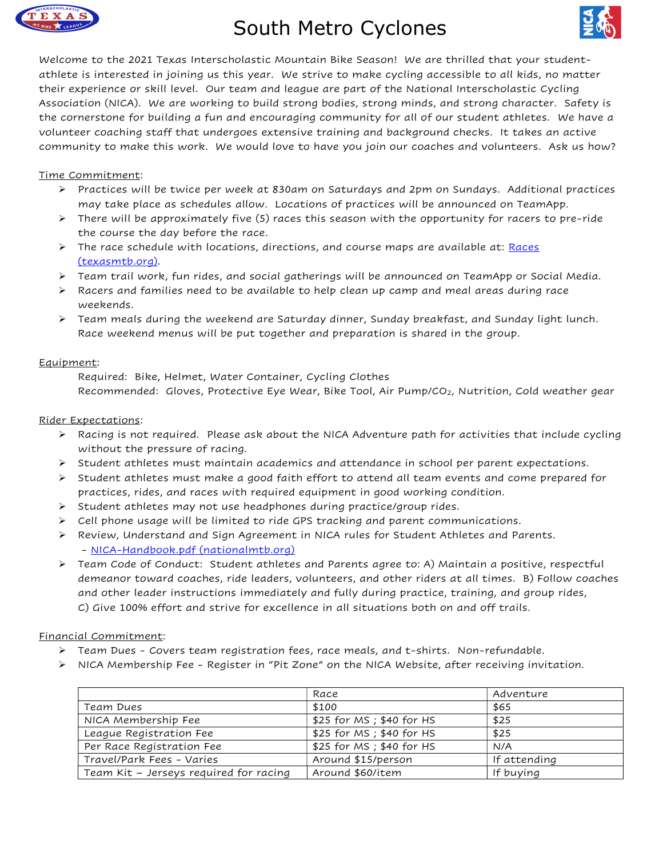

# South Metro Cyclones



Welcome to the 2021 Texas Interscholastic Mountain Bike Season! We are thrilled that your studentathlete is interested in joining us this year. We strive to make cycling accessible to all kids, no matter their experience or skill level. Our team and league are part of the National Interscholastic Cycling Association (NICA). We are working to build strong bodies, strong minds, and strong character. Safety is the cornerstone for building a fun and encouraging community for all of our student athletes. We have a volunteer coaching staff that undergoes extensive training and background checks. It takes an active community to make this work. We would love to have you join our coaches and volunteers. Ask us how?

# Time Commitment:

- $\triangleright$  Practices will be twice per week at 830am on Saturdays and 2pm on Sundays. Additional practices may take place as schedules allow. Locations of practices will be announced on TeamApp.
- $\triangleright$  There will be approximately five (5) races this season with the opportunity for racers to pre-ride the course the day before the race.
- $\triangleright$  The race schedule with locations, directions, and course maps are available at: Races (texasmtb.org).
- $\triangleright$  Team trail work, fun rides, and social gatherings will be announced on TeamApp or Social Media.
- $\triangleright$  Racers and families need to be available to help clean up camp and meal areas during race weekends.
- $\triangleright$  Team meals during the weekend are Saturday dinner, Sunday breakfast, and Sunday light lunch. Race weekend menus will be put together and preparation is shared in the group.

#### Equipment:

 Required: Bike, Helmet, Water Container, Cycling Clothes Recommended: Gloves, Protective Eye Wear, Bike Tool, Air Pump/CO2, Nutrition, Cold weather gear

#### Rider Expectations:

- $\triangleright$  Racing is not required. Please ask about the NICA Adventure path for activities that include cycling without the pressure of racing.
- $\triangleright$  Student athletes must maintain academics and attendance in school per parent expectations.
- $\triangleright$  Student athletes must make a good faith effort to attend all team events and come prepared for practices, rides, and races with required equipment in good working condition.
- $\triangleright$  Student athletes may not use headphones during practice/group rides.
- $\triangleright$  Cell phone usage will be limited to ride GPS tracking and parent communications.
- Review, Understand and Sign Agreement in NICA rules for Student Athletes and Parents. - NICA-Handbook.pdf (nationalmtb.org)
- Team Code of Conduct: Student athletes and Parents agree to: A) Maintain a positive, respectful demeanor toward coaches, ride leaders, volunteers, and other riders at all times. B) Follow coaches and other leader instructions immediately and fully during practice, training, and group rides, C) Give 100% effort and strive for excellence in all situations both on and off trails.

### Financial Commitment:

- $\triangleright$  Team Dues Covers team registration fees, race meals, and t-shirts. Non-refundable.
- $\triangleright$  NICA Membership Fee Register in "Pit Zone" on the NICA Website, after receiving invitation.

|                                        | Race                      | Adventure    |  |
|----------------------------------------|---------------------------|--------------|--|
| Team Dues                              | \$100                     | \$65         |  |
| NICA Membership Fee                    | \$25 for MS ; \$40 for HS | \$25         |  |
| League Registration Fee                | \$25 for MS ; \$40 for HS | \$25         |  |
| Per Race Registration Fee              | \$25 for MS ; \$40 for HS | N/A          |  |
| Travel/Park Fees - Varies              | Around \$15/person        | If attending |  |
| Team Kit - Jerseys required for racing | Around \$60/item          | If buving    |  |